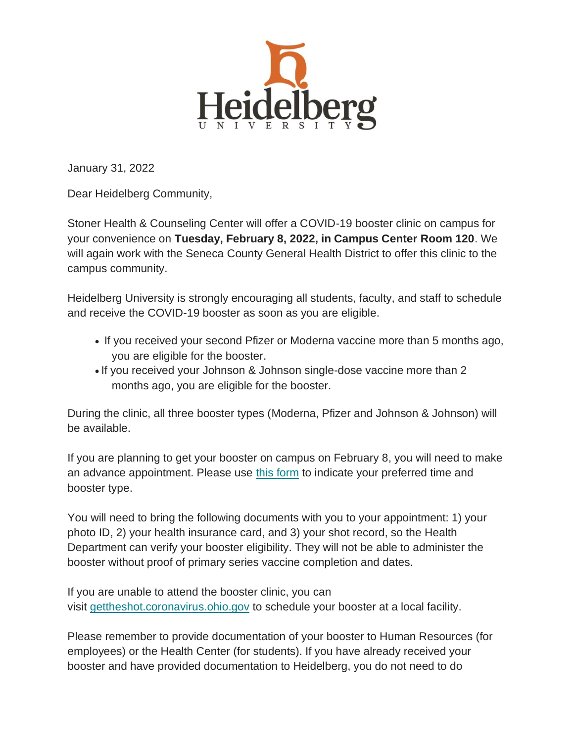

January 31, 2022

Dear Heidelberg Community,

Stoner Health & Counseling Center will offer a COVID-19 booster clinic on campus for your convenience on **Tuesday, February 8, 2022, in Campus Center Room 120**. We will again work with the Seneca County General Health District to offer this clinic to the campus community.

Heidelberg University is strongly encouraging all students, faculty, and staff to schedule and receive the COVID-19 booster as soon as you are eligible.

- If you received your second Pfizer or Moderna vaccine more than 5 months ago, you are eligible for the booster.
- If you received your Johnson & Johnson single-dose vaccine more than 2 months ago, you are eligible for the booster.

During the clinic, all three booster types (Moderna, Pfizer and Johnson & Johnson) will be available.

If you are planning to get your booster on campus on February 8, you will need to make an advance appointment. Please use [this form](https://heidelberg.us1.list-manage.com/track/click?u=aedcf85e9275dba4a51d423f2&id=72e14e7eea&e=97159f85d8) to indicate your preferred time and booster type.

You will need to bring the following documents with you to your appointment: 1) your photo ID, 2) your health insurance card, and 3) your shot record, so the Health Department can verify your booster eligibility. They will not be able to administer the booster without proof of primary series vaccine completion and dates.

If you are unable to attend the booster clinic, you can visit [gettheshot.coronavirus.ohio.gov](https://heidelberg.us1.list-manage.com/track/click?u=aedcf85e9275dba4a51d423f2&id=5f22587500&e=97159f85d8) to schedule your booster at a local facility.

Please remember to provide documentation of your booster to Human Resources (for employees) or the Health Center (for students). If you have already received your booster and have provided documentation to Heidelberg, you do not need to do